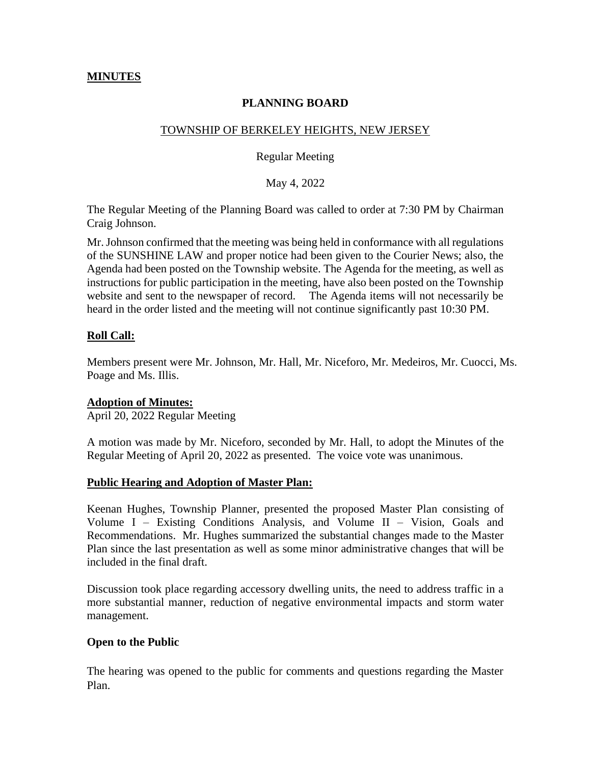## **MINUTES**

# **PLANNING BOARD**

### TOWNSHIP OF BERKELEY HEIGHTS, NEW JERSEY

Regular Meeting

May 4, 2022

The Regular Meeting of the Planning Board was called to order at 7:30 PM by Chairman Craig Johnson.

Mr. Johnson confirmed that the meeting was being held in conformance with all regulations of the SUNSHINE LAW and proper notice had been given to the Courier News; also, the Agenda had been posted on the Township website. The Agenda for the meeting, as well as instructions for public participation in the meeting, have also been posted on the Township website and sent to the newspaper of record. The Agenda items will not necessarily be heard in the order listed and the meeting will not continue significantly past 10:30 PM.

## **Roll Call:**

Members present were Mr. Johnson, Mr. Hall, Mr. Niceforo, Mr. Medeiros, Mr. Cuocci, Ms. Poage and Ms. Illis.

### **Adoption of Minutes:**

April 20, 2022 Regular Meeting

A motion was made by Mr. Niceforo, seconded by Mr. Hall, to adopt the Minutes of the Regular Meeting of April 20, 2022 as presented. The voice vote was unanimous.

### **Public Hearing and Adoption of Master Plan:**

Keenan Hughes, Township Planner, presented the proposed Master Plan consisting of Volume I – Existing Conditions Analysis, and Volume II – Vision, Goals and Recommendations. Mr. Hughes summarized the substantial changes made to the Master Plan since the last presentation as well as some minor administrative changes that will be included in the final draft.

Discussion took place regarding accessory dwelling units, the need to address traffic in a more substantial manner, reduction of negative environmental impacts and storm water management.

### **Open to the Public**

The hearing was opened to the public for comments and questions regarding the Master Plan.